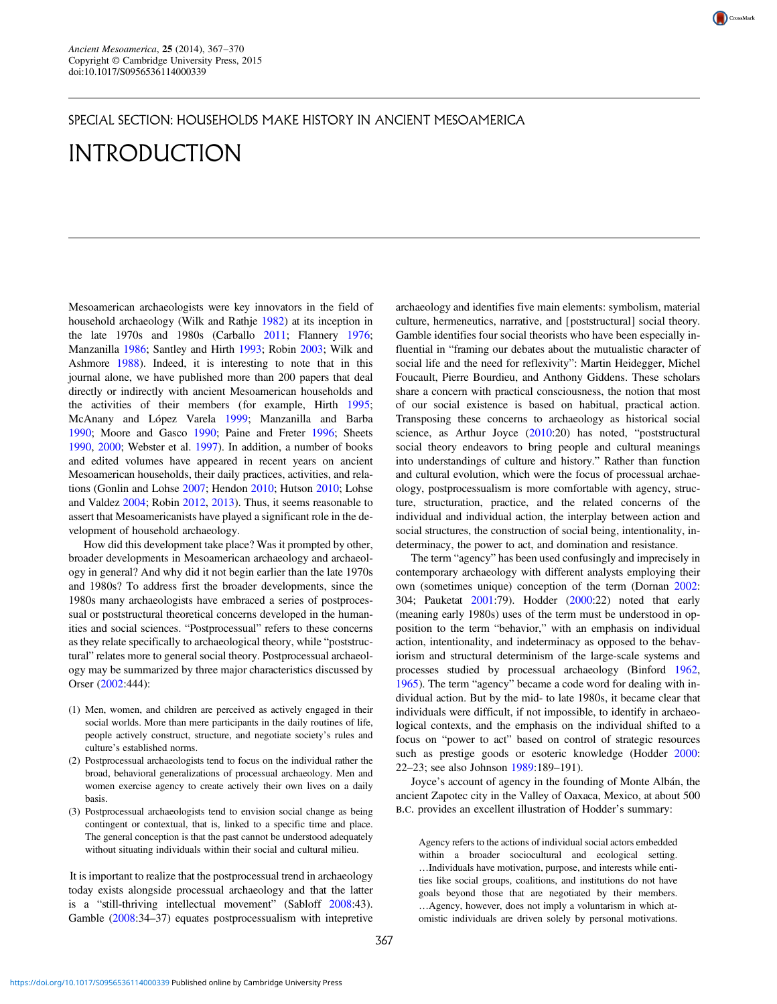

## INTRODUCTION

Mesoamerican archaeologists were key innovators in the field of household archaeology (Wilk and Rathje [1982](#page-3-0)) at its inception in the late 1970s and 1980s (Carballo [2011;](#page-3-0) Flannery [1976;](#page-3-0) Manzanilla [1986](#page-3-0); Santley and Hirth [1993](#page-3-0); Robin [2003;](#page-3-0) Wilk and Ashmore [1988\)](#page-3-0). Indeed, it is interesting to note that in this journal alone, we have published more than 200 papers that deal directly or indirectly with ancient Mesoamerican households and the activities of their members (for example, Hirth [1995;](#page-3-0) McAnany and López Varela [1999](#page-3-0); Manzanilla and Barba [1990](#page-3-0); Moore and Gasco [1990](#page-3-0); Paine and Freter [1996;](#page-3-0) Sheets [1990](#page-3-0), [2000](#page-3-0); Webster et al. [1997\)](#page-3-0). In addition, a number of books and edited volumes have appeared in recent years on ancient Mesoamerican households, their daily practices, activities, and relations (Gonlin and Lohse [2007;](#page-3-0) Hendon [2010;](#page-3-0) Hutson [2010](#page-3-0); Lohse and Valdez [2004;](#page-3-0) Robin [2012](#page-3-0), [2013\)](#page-3-0). Thus, it seems reasonable to assert that Mesoamericanists have played a significant role in the development of household archaeology.

How did this development take place? Was it prompted by other, broader developments in Mesoamerican archaeology and archaeology in general? And why did it not begin earlier than the late 1970s and 1980s? To address first the broader developments, since the 1980s many archaeologists have embraced a series of postprocessual or poststructural theoretical concerns developed in the humanities and social sciences. "Postprocessual" refers to these concerns as they relate specifically to archaeological theory, while "poststructural" relates more to general social theory. Postprocessual archaeology may be summarized by three major characteristics discussed by Orser [\(2002](#page-3-0):444):

- (1) Men, women, and children are perceived as actively engaged in their social worlds. More than mere participants in the daily routines of life, people actively construct, structure, and negotiate society's rules and culture's established norms.
- (2) Postprocessual archaeologists tend to focus on the individual rather the broad, behavioral generalizations of processual archaeology. Men and women exercise agency to create actively their own lives on a daily basis.
- (3) Postprocessual archaeologists tend to envision social change as being contingent or contextual, that is, linked to a specific time and place. The general conception is that the past cannot be understood adequately without situating individuals within their social and cultural milieu.

It is important to realize that the postprocessual trend in archaeology today exists alongside processual archaeology and that the latter is a "still-thriving intellectual movement" (Sabloff [2008](#page-3-0):43). Gamble ([2008:](#page-3-0)34–37) equates postprocessualism with intepretive

archaeology and identifies five main elements: symbolism, material culture, hermeneutics, narrative, and [poststructural] social theory. Gamble identifies four social theorists who have been especially influential in "framing our debates about the mutualistic character of social life and the need for reflexivity": Martin Heidegger, Michel Foucault, Pierre Bourdieu, and Anthony Giddens. These scholars share a concern with practical consciousness, the notion that most of our social existence is based on habitual, practical action. Transposing these concerns to archaeology as historical social science, as Arthur Joyce [\(2010](#page-3-0):20) has noted, "poststructural social theory endeavors to bring people and cultural meanings into understandings of culture and history." Rather than function and cultural evolution, which were the focus of processual archaeology, postprocessualism is more comfortable with agency, structure, structuration, practice, and the related concerns of the individual and individual action, the interplay between action and social structures, the construction of social being, intentionality, indeterminacy, the power to act, and domination and resistance.

CrossMark

The term "agency" has been used confusingly and imprecisely in contemporary archaeology with different analysts employing their own (sometimes unique) conception of the term (Dornan [2002:](#page-3-0) 304; Pauketat [2001](#page-3-0):79). Hodder ([2000:](#page-3-0)22) noted that early (meaning early 1980s) uses of the term must be understood in opposition to the term "behavior," with an emphasis on individual action, intentionality, and indeterminacy as opposed to the behaviorism and structural determinism of the large-scale systems and processes studied by processual archaeology (Binford [1962,](#page-2-0) [1965](#page-2-0)). The term "agency" became a code word for dealing with individual action. But by the mid- to late 1980s, it became clear that individuals were difficult, if not impossible, to identify in archaeological contexts, and the emphasis on the individual shifted to a focus on "power to act" based on control of strategic resources such as prestige goods or esoteric knowledge (Hodder [2000:](#page-3-0) 22–23; see also Johnson [1989:](#page-3-0)189–191).

Joyce's account of agency in the founding of Monte Albán, the ancient Zapotec city in the Valley of Oaxaca, Mexico, at about 500 b.c. provides an excellent illustration of Hodder's summary:

Agency refers to the actions of individual social actors embedded within a broader sociocultural and ecological setting. …Individuals have motivation, purpose, and interests while entities like social groups, coalitions, and institutions do not have goals beyond those that are negotiated by their members. …Agency, however, does not imply a voluntarism in which atomistic individuals are driven solely by personal motivations.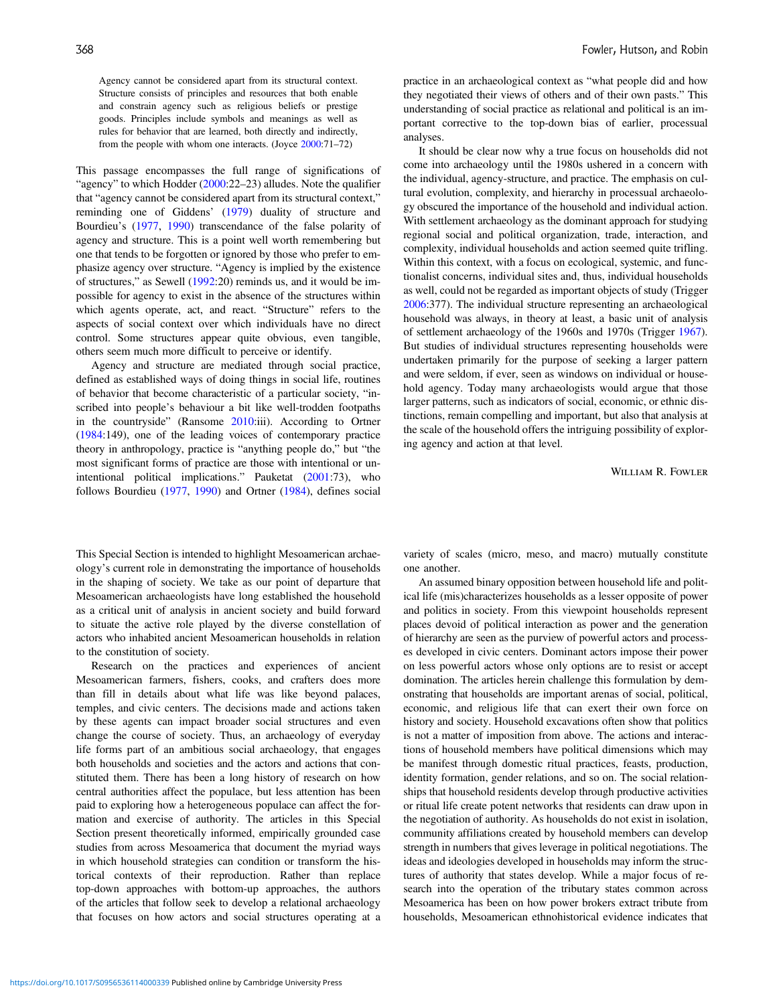Agency cannot be considered apart from its structural context. Structure consists of principles and resources that both enable and constrain agency such as religious beliefs or prestige goods. Principles include symbols and meanings as well as rules for behavior that are learned, both directly and indirectly, from the people with whom one interacts. (Joyce [2000](#page-3-0):71–72)

This passage encompasses the full range of significations of "agency" to which Hodder  $(2000:22-23)$  $(2000:22-23)$  $(2000:22-23)$  alludes. Note the qualifier that "agency cannot be considered apart from its structural context," reminding one of Giddens' ([1979\)](#page-3-0) duality of structure and Bourdieu's [\(1977](#page-2-0), [1990\)](#page-2-0) transcendance of the false polarity of agency and structure. This is a point well worth remembering but one that tends to be forgotten or ignored by those who prefer to emphasize agency over structure. "Agency is implied by the existence of structures," as Sewell [\(1992](#page-3-0):20) reminds us, and it would be impossible for agency to exist in the absence of the structures within which agents operate, act, and react. "Structure" refers to the aspects of social context over which individuals have no direct control. Some structures appear quite obvious, even tangible, others seem much more difficult to perceive or identify.

Agency and structure are mediated through social practice, defined as established ways of doing things in social life, routines of behavior that become characteristic of a particular society, "inscribed into people's behaviour a bit like well-trodden footpaths in the countryside" (Ransome [2010](#page-3-0):iii). According to Ortner ([1984:](#page-3-0)149), one of the leading voices of contemporary practice theory in anthropology, practice is "anything people do," but "the most significant forms of practice are those with intentional or unintentional political implications." Pauketat [\(2001](#page-3-0):73), who follows Bourdieu ([1977,](#page-2-0) [1990](#page-2-0)) and Ortner ([1984\)](#page-3-0), defines social

This Special Section is intended to highlight Mesoamerican archaeology's current role in demonstrating the importance of households in the shaping of society. We take as our point of departure that Mesoamerican archaeologists have long established the household as a critical unit of analysis in ancient society and build forward to situate the active role played by the diverse constellation of actors who inhabited ancient Mesoamerican households in relation to the constitution of society.

Research on the practices and experiences of ancient Mesoamerican farmers, fishers, cooks, and crafters does more than fill in details about what life was like beyond palaces, temples, and civic centers. The decisions made and actions taken by these agents can impact broader social structures and even change the course of society. Thus, an archaeology of everyday life forms part of an ambitious social archaeology, that engages both households and societies and the actors and actions that constituted them. There has been a long history of research on how central authorities affect the populace, but less attention has been paid to exploring how a heterogeneous populace can affect the formation and exercise of authority. The articles in this Special Section present theoretically informed, empirically grounded case studies from across Mesoamerica that document the myriad ways in which household strategies can condition or transform the historical contexts of their reproduction. Rather than replace top-down approaches with bottom-up approaches, the authors of the articles that follow seek to develop a relational archaeology that focuses on how actors and social structures operating at a practice in an archaeological context as "what people did and how they negotiated their views of others and of their own pasts." This understanding of social practice as relational and political is an important corrective to the top-down bias of earlier, processual analyses.

It should be clear now why a true focus on households did not come into archaeology until the 1980s ushered in a concern with the individual, agency-structure, and practice. The emphasis on cultural evolution, complexity, and hierarchy in processual archaeology obscured the importance of the household and individual action. With settlement archaeology as the dominant approach for studying regional social and political organization, trade, interaction, and complexity, individual households and action seemed quite trifling. Within this context, with a focus on ecological, systemic, and functionalist concerns, individual sites and, thus, individual households as well, could not be regarded as important objects of study (Trigger [2006:](#page-3-0)377). The individual structure representing an archaeological household was always, in theory at least, a basic unit of analysis of settlement archaeology of the 1960s and 1970s (Trigger [1967\)](#page-3-0). But studies of individual structures representing households were undertaken primarily for the purpose of seeking a larger pattern and were seldom, if ever, seen as windows on individual or household agency. Today many archaeologists would argue that those larger patterns, such as indicators of social, economic, or ethnic distinctions, remain compelling and important, but also that analysis at the scale of the household offers the intriguing possibility of exploring agency and action at that level.

William R. Fowler

variety of scales (micro, meso, and macro) mutually constitute one another.

An assumed binary opposition between household life and political life (mis)characterizes households as a lesser opposite of power and politics in society. From this viewpoint households represent places devoid of political interaction as power and the generation of hierarchy are seen as the purview of powerful actors and processes developed in civic centers. Dominant actors impose their power on less powerful actors whose only options are to resist or accept domination. The articles herein challenge this formulation by demonstrating that households are important arenas of social, political, economic, and religious life that can exert their own force on history and society. Household excavations often show that politics is not a matter of imposition from above. The actions and interactions of household members have political dimensions which may be manifest through domestic ritual practices, feasts, production, identity formation, gender relations, and so on. The social relationships that household residents develop through productive activities or ritual life create potent networks that residents can draw upon in the negotiation of authority. As households do not exist in isolation, community affiliations created by household members can develop strength in numbers that gives leverage in political negotiations. The ideas and ideologies developed in households may inform the structures of authority that states develop. While a major focus of research into the operation of the tributary states common across Mesoamerica has been on how power brokers extract tribute from households, Mesoamerican ethnohistorical evidence indicates that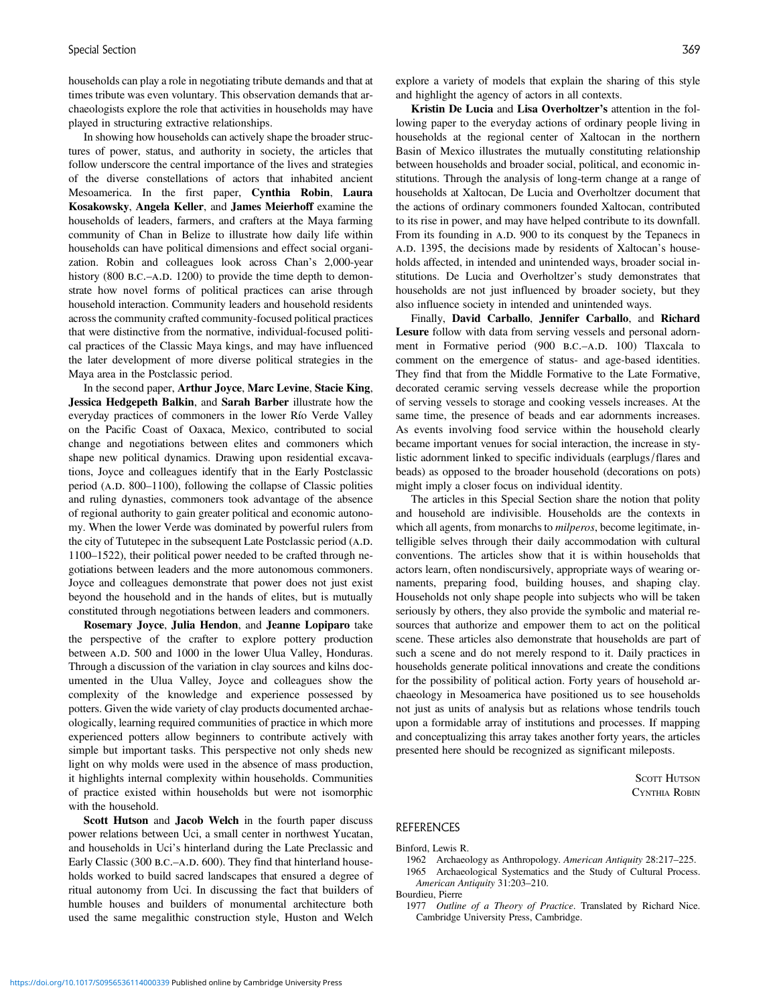<span id="page-2-0"></span>households can play a role in negotiating tribute demands and that at times tribute was even voluntary. This observation demands that archaeologists explore the role that activities in households may have played in structuring extractive relationships.

In showing how households can actively shape the broader structures of power, status, and authority in society, the articles that follow underscore the central importance of the lives and strategies of the diverse constellations of actors that inhabited ancient Mesoamerica. In the first paper, Cynthia Robin, Laura Kosakowsky, Angela Keller, and James Meierhoff examine the households of leaders, farmers, and crafters at the Maya farming community of Chan in Belize to illustrate how daily life within households can have political dimensions and effect social organization. Robin and colleagues look across Chan's 2,000-year history (800 B.C.–A.D. 1200) to provide the time depth to demonstrate how novel forms of political practices can arise through household interaction. Community leaders and household residents across the community crafted community-focused political practices that were distinctive from the normative, individual-focused political practices of the Classic Maya kings, and may have influenced the later development of more diverse political strategies in the Maya area in the Postclassic period.

In the second paper, Arthur Joyce, Marc Levine, Stacie King, Jessica Hedgepeth Balkin, and Sarah Barber illustrate how the everyday practices of commoners in the lower Río Verde Valley on the Pacific Coast of Oaxaca, Mexico, contributed to social change and negotiations between elites and commoners which shape new political dynamics. Drawing upon residential excavations, Joyce and colleagues identify that in the Early Postclassic period (A.D. 800–1100), following the collapse of Classic polities and ruling dynasties, commoners took advantage of the absence of regional authority to gain greater political and economic autonomy. When the lower Verde was dominated by powerful rulers from the city of Tututepec in the subsequent Late Postclassic period (A.D. 1100–1522), their political power needed to be crafted through negotiations between leaders and the more autonomous commoners. Joyce and colleagues demonstrate that power does not just exist beyond the household and in the hands of elites, but is mutually constituted through negotiations between leaders and commoners.

Rosemary Joyce, Julia Hendon, and Jeanne Lopiparo take the perspective of the crafter to explore pottery production between A.D. 500 and 1000 in the lower Ulua Valley, Honduras. Through a discussion of the variation in clay sources and kilns documented in the Ulua Valley, Joyce and colleagues show the complexity of the knowledge and experience possessed by potters. Given the wide variety of clay products documented archaeologically, learning required communities of practice in which more experienced potters allow beginners to contribute actively with simple but important tasks. This perspective not only sheds new light on why molds were used in the absence of mass production, it highlights internal complexity within households. Communities of practice existed within households but were not isomorphic with the household.

Scott Hutson and Jacob Welch in the fourth paper discuss power relations between Uci, a small center in northwest Yucatan, and households in Uci's hinterland during the Late Preclassic and Early Classic (300 B.C.–A.D. 600). They find that hinterland households worked to build sacred landscapes that ensured a degree of ritual autonomy from Uci. In discussing the fact that builders of humble houses and builders of monumental architecture both used the same megalithic construction style, Huston and Welch

explore a variety of models that explain the sharing of this style and highlight the agency of actors in all contexts.

Kristin De Lucia and Lisa Overholtzer's attention in the following paper to the everyday actions of ordinary people living in households at the regional center of Xaltocan in the northern Basin of Mexico illustrates the mutually constituting relationship between households and broader social, political, and economic institutions. Through the analysis of long-term change at a range of households at Xaltocan, De Lucia and Overholtzer document that the actions of ordinary commoners founded Xaltocan, contributed to its rise in power, and may have helped contribute to its downfall. From its founding in A.D. 900 to its conquest by the Tepanecs in A.D. 1395, the decisions made by residents of Xaltocan's households affected, in intended and unintended ways, broader social institutions. De Lucia and Overholtzer's study demonstrates that households are not just influenced by broader society, but they also influence society in intended and unintended ways.

Finally, David Carballo, Jennifer Carballo, and Richard Lesure follow with data from serving vessels and personal adornment in Formative period (900 B.C.–A.D. 100) Tlaxcala to comment on the emergence of status- and age-based identities. They find that from the Middle Formative to the Late Formative, decorated ceramic serving vessels decrease while the proportion of serving vessels to storage and cooking vessels increases. At the same time, the presence of beads and ear adornments increases. As events involving food service within the household clearly became important venues for social interaction, the increase in stylistic adornment linked to specific individuals (earplugs/flares and beads) as opposed to the broader household (decorations on pots) might imply a closer focus on individual identity.

The articles in this Special Section share the notion that polity and household are indivisible. Households are the contexts in which all agents, from monarchs to *milperos*, become legitimate, intelligible selves through their daily accommodation with cultural conventions. The articles show that it is within households that actors learn, often nondiscursively, appropriate ways of wearing ornaments, preparing food, building houses, and shaping clay. Households not only shape people into subjects who will be taken seriously by others, they also provide the symbolic and material resources that authorize and empower them to act on the political scene. These articles also demonstrate that households are part of such a scene and do not merely respond to it. Daily practices in households generate political innovations and create the conditions for the possibility of political action. Forty years of household archaeology in Mesoamerica have positioned us to see households not just as units of analysis but as relations whose tendrils touch upon a formidable array of institutions and processes. If mapping and conceptualizing this array takes another forty years, the articles presented here should be recognized as significant mileposts.

> SCOTT HUTSON CYNTHIA ROBIN

## REFERENCES

Binford, Lewis R.

- 1962 Archaeology as Anthropology. American Antiquity 28:217–225.
- 1965 Archaeological Systematics and the Study of Cultural Process. American Antiquity 31:203–210.

Bourdieu, Pierre

1977 Outline of a Theory of Practice. Translated by Richard Nice. Cambridge University Press, Cambridge.